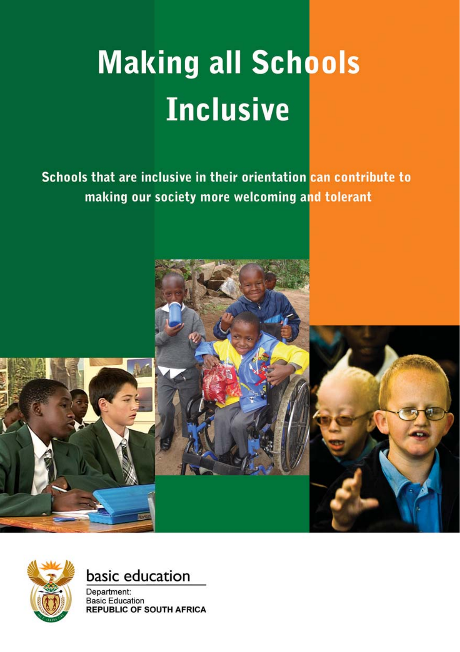# **Making all Schools Inclusive**

Schools that are inclusive in their orientation can contribute to making our society more welcoming and tolerant





## basic education

Department: **Basic Education REPUBLIC OF SOUTH AFRICA**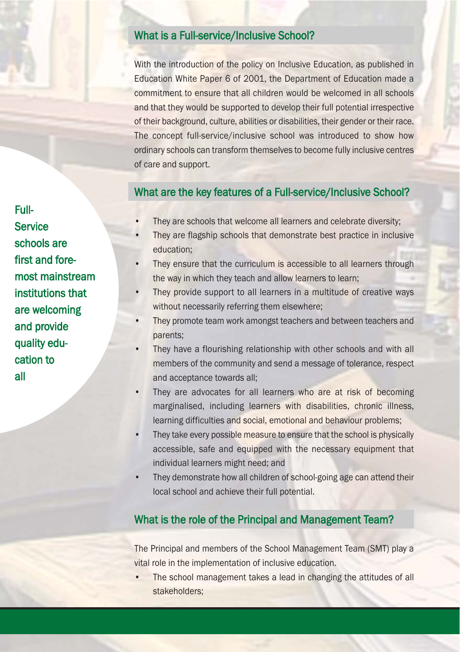#### What is a Full-service/Inclusive School?

With the introduction of the policy on Inclusive Education, as published in Education White Paper 6 of 2001, the Department of Education made a commitment to ensure that all children would be welcomed in all schools and that they would be supported to develop their full potential irrespective of their background, culture, abilities or disabilities, their gender or their race. The concept full-service/inclusive school was introduced to show how ordinary schools can transform themselves to become fully inclusive centres of care and support.

#### What are the key features of a Full-service/Inclusive School?

- They are schools that welcome all learners and celebrate diversity;
- They are flagship schools that demonstrate best practice in inclusive education;
- They ensure that the curriculum is accessible to all learners through the way in which they teach and allow learners to learn;
- They provide support to all learners in a multitude of creative ways without necessarily referring them elsewhere;
- They promote team work amongst teachers and between teachers and parents;
- They have a flourishing relationship with other schools and with all members of the community and send a message of tolerance, respect and acceptance towards all;
- They are advocates for all learners who are at risk of becoming marginalised, including learners with disabilities, chronic illness, learning difficulties and social, emotional and behaviour problems;
- They take every possible measure to ensure that the school is physically accessible, safe and equipped with the necessary equipment that individual learners might need; and
- They demonstrate how all children of school-going age can attend their local school and achieve their full potential.

#### What is the role of the Principal and Management Team?

The Principal and members of the School Management Team (SMT) play a vital role in the implementation of inclusive education.

• The school management takes a lead in changing the attitudes of all stakeholders;

Full-**Service** schools are first and foremost mainstream institutions that are welcoming and provide quality education to all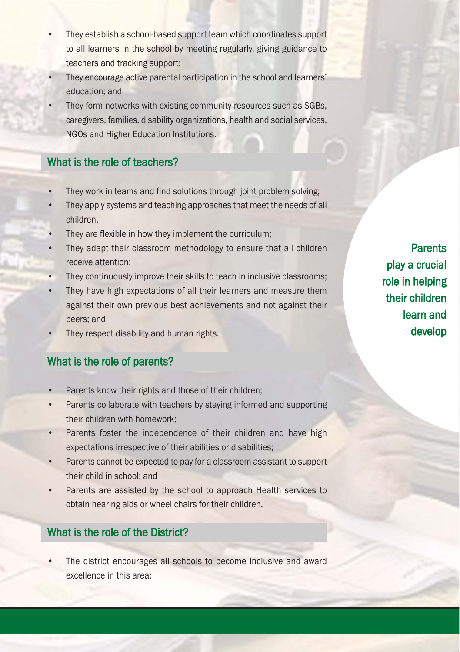- They establish a school-based support team which coordinates support to all learners in the school by meeting regularly, giving guidance to teachers and tracking support;
- They encourage active parental participation in the school and learners' education; and
- They form networks with existing community resources such as SGBs, caregivers, families, disability organizations, health and social services, NGOs and Higher Education Institutions.

#### What is the role of teachers?

- They work in teams and find solutions through joint problem solving;
- They apply systems and teaching approaches that meet the needs of all children.
- They are flexible in how they implement the curriculum;
- They adapt their classroom methodology to ensure that all children receive attention;
- They continuously improve their skills to teach in inclusive classrooms;
- They have high expectations of all their learners and measure them against their own previous best achievements and not against their peers; and
- They respect disability and human rights.

#### What is the role of parents?

- Parents know their rights and those of their children;
- Parents collaborate with teachers by staying informed and supporting their children with homework;
- Parents foster the independence of their children and have high expectations irrespective of their abilities or disabilities;
- Parents cannot be expected to pay for a classroom assistant to support their child in school; and
- Parents are assisted by the school to approach Health services to obtain hearing aids or wheel chairs for their children.

### What is the role of the District?

The district encourages all schools to become inclusive and award excellence in this area;

**Parents** play a crucial role in helping their children learn and develop